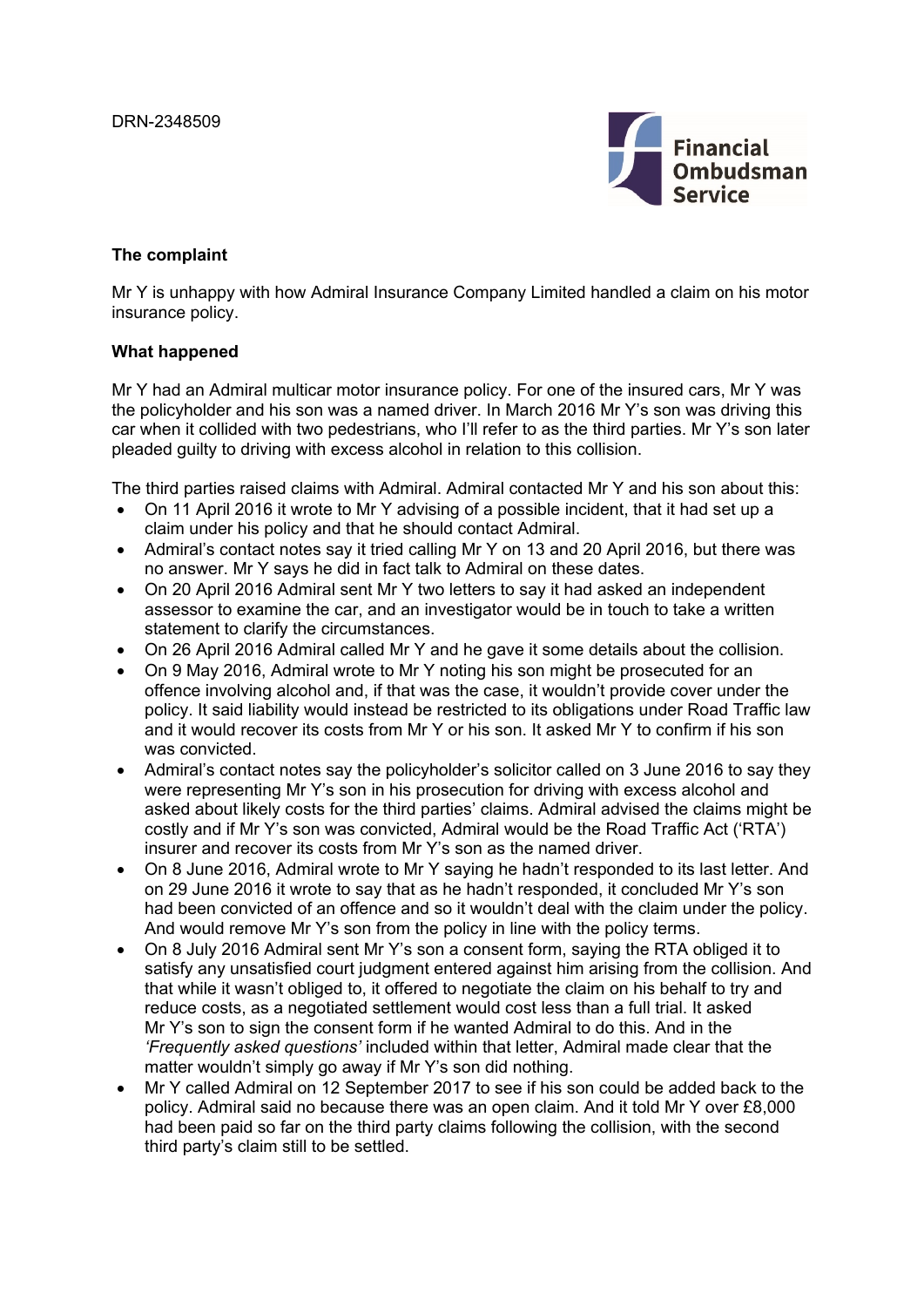

# **The complaint**

Mr Y is unhappy with how Admiral Insurance Company Limited handled a claim on his motor insurance policy.

### **What happened**

Mr Y had an Admiral multicar motor insurance policy. For one of the insured cars, Mr Y was the policyholder and his son was a named driver. In March 2016 Mr Y's son was driving this car when it collided with two pedestrians, who I'll refer to as the third parties. Mr Y's son later pleaded guilty to driving with excess alcohol in relation to this collision.

The third parties raised claims with Admiral. Admiral contacted Mr Y and his son about this:

- On 11 April 2016 it wrote to Mr Y advising of a possible incident, that it had set up a claim under his policy and that he should contact Admiral.
- Admiral's contact notes say it tried calling Mr Y on 13 and 20 April 2016, but there was no answer. Mr Y says he did in fact talk to Admiral on these dates.
- On 20 April 2016 Admiral sent Mr Y two letters to say it had asked an independent assessor to examine the car, and an investigator would be in touch to take a written statement to clarify the circumstances.
- On 26 April 2016 Admiral called Mr Y and he gave it some details about the collision.
- On 9 May 2016, Admiral wrote to Mr Y noting his son might be prosecuted for an offence involving alcohol and, if that was the case, it wouldn't provide cover under the policy. It said liability would instead be restricted to its obligations under Road Traffic law and it would recover its costs from Mr Y or his son. It asked Mr Y to confirm if his son was convicted.
- Admiral's contact notes say the policyholder's solicitor called on 3 June 2016 to say they were representing Mr Y's son in his prosecution for driving with excess alcohol and asked about likely costs for the third parties' claims. Admiral advised the claims might be costly and if Mr Y's son was convicted, Admiral would be the Road Traffic Act ('RTA') insurer and recover its costs from Mr Y's son as the named driver.
- On 8 June 2016, Admiral wrote to Mr Y saying he hadn't responded to its last letter. And on 29 June 2016 it wrote to say that as he hadn't responded, it concluded Mr Y's son had been convicted of an offence and so it wouldn't deal with the claim under the policy. And would remove Mr Y's son from the policy in line with the policy terms.
- On 8 July 2016 Admiral sent Mr Y's son a consent form, saying the RTA obliged it to satisfy any unsatisfied court judgment entered against him arising from the collision. And that while it wasn't obliged to, it offered to negotiate the claim on his behalf to try and reduce costs, as a negotiated settlement would cost less than a full trial. It asked Mr Y's son to sign the consent form if he wanted Admiral to do this. And in the *'Frequently asked questions'* included within that letter, Admiral made clear that the matter wouldn't simply go away if Mr Y's son did nothing.
- Mr Y called Admiral on 12 September 2017 to see if his son could be added back to the policy. Admiral said no because there was an open claim. And it told Mr Y over £8,000 had been paid so far on the third party claims following the collision, with the second third party's claim still to be settled.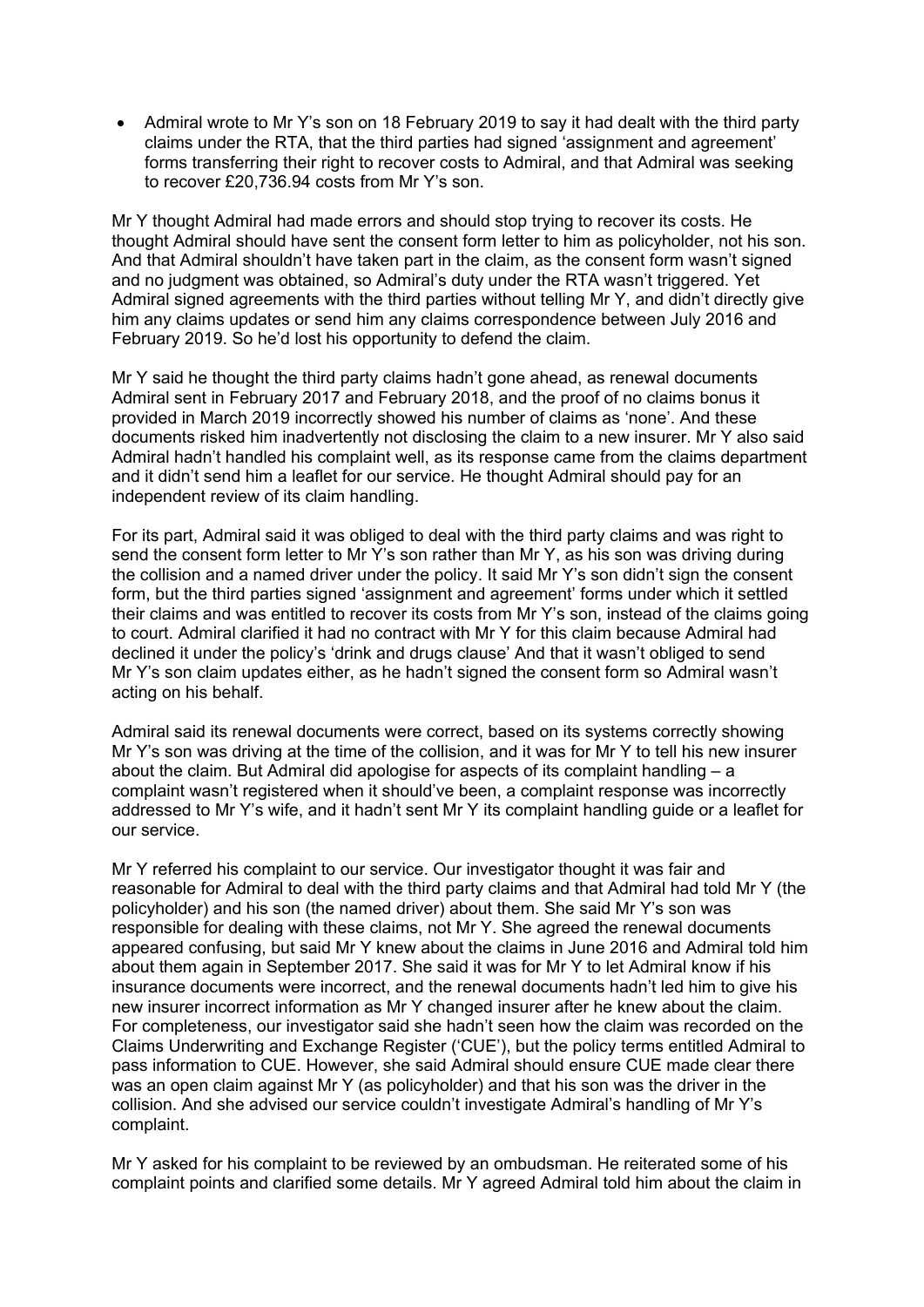• Admiral wrote to Mr Y's son on 18 February 2019 to say it had dealt with the third party claims under the RTA, that the third parties had signed 'assignment and agreement' forms transferring their right to recover costs to Admiral, and that Admiral was seeking to recover £20,736.94 costs from Mr Y's son.

Mr Y thought Admiral had made errors and should stop trying to recover its costs. He thought Admiral should have sent the consent form letter to him as policyholder, not his son. And that Admiral shouldn't have taken part in the claim, as the consent form wasn't signed and no judgment was obtained, so Admiral's duty under the RTA wasn't triggered. Yet Admiral signed agreements with the third parties without telling Mr Y, and didn't directly give him any claims updates or send him any claims correspondence between July 2016 and February 2019. So he'd lost his opportunity to defend the claim.

Mr Y said he thought the third party claims hadn't gone ahead, as renewal documents Admiral sent in February 2017 and February 2018, and the proof of no claims bonus it provided in March 2019 incorrectly showed his number of claims as 'none'. And these documents risked him inadvertently not disclosing the claim to a new insurer. Mr Y also said Admiral hadn't handled his complaint well, as its response came from the claims department and it didn't send him a leaflet for our service. He thought Admiral should pay for an independent review of its claim handling.

For its part, Admiral said it was obliged to deal with the third party claims and was right to send the consent form letter to Mr Y's son rather than Mr Y, as his son was driving during the collision and a named driver under the policy. It said Mr Y's son didn't sign the consent form, but the third parties signed 'assignment and agreement' forms under which it settled their claims and was entitled to recover its costs from Mr Y's son, instead of the claims going to court. Admiral clarified it had no contract with Mr Y for this claim because Admiral had declined it under the policy's 'drink and drugs clause' And that it wasn't obliged to send Mr Y's son claim updates either, as he hadn't signed the consent form so Admiral wasn't acting on his behalf.

Admiral said its renewal documents were correct, based on its systems correctly showing Mr Y's son was driving at the time of the collision, and it was for Mr Y to tell his new insurer about the claim. But Admiral did apologise for aspects of its complaint handling – a complaint wasn't registered when it should've been, a complaint response was incorrectly addressed to Mr Y's wife, and it hadn't sent Mr Y its complaint handling guide or a leaflet for our service.

Mr Y referred his complaint to our service. Our investigator thought it was fair and reasonable for Admiral to deal with the third party claims and that Admiral had told Mr Y (the policyholder) and his son (the named driver) about them. She said Mr Y's son was responsible for dealing with these claims, not Mr Y. She agreed the renewal documents appeared confusing, but said Mr Y knew about the claims in June 2016 and Admiral told him about them again in September 2017. She said it was for Mr Y to let Admiral know if his insurance documents were incorrect, and the renewal documents hadn't led him to give his new insurer incorrect information as Mr Y changed insurer after he knew about the claim. For completeness, our investigator said she hadn't seen how the claim was recorded on the Claims Underwriting and Exchange Register ('CUE'), but the policy terms entitled Admiral to pass information to CUE. However, she said Admiral should ensure CUE made clear there was an open claim against Mr Y (as policyholder) and that his son was the driver in the collision. And she advised our service couldn't investigate Admiral's handling of Mr Y's complaint.

Mr Y asked for his complaint to be reviewed by an ombudsman. He reiterated some of his complaint points and clarified some details. Mr Y agreed Admiral told him about the claim in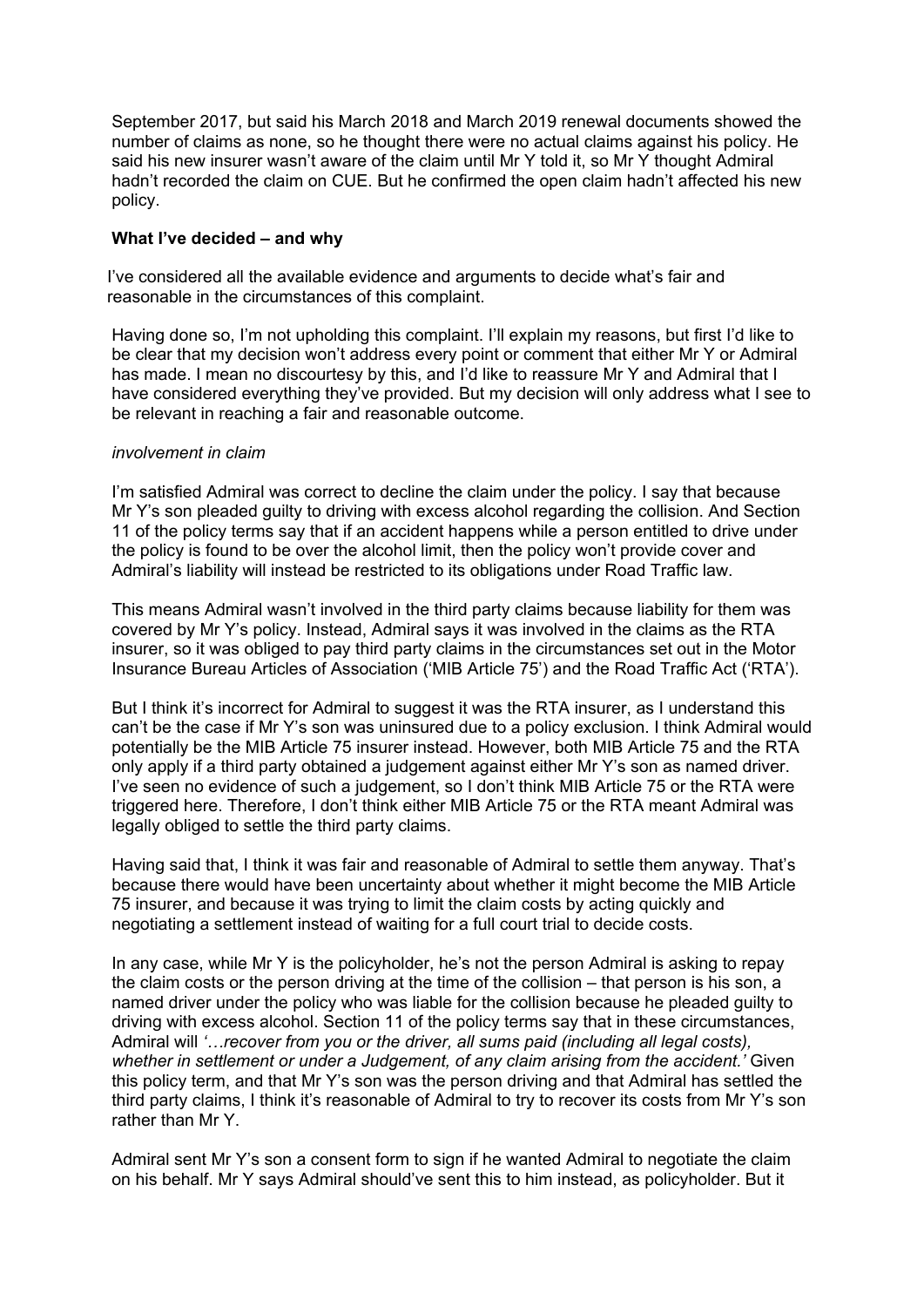September 2017, but said his March 2018 and March 2019 renewal documents showed the number of claims as none, so he thought there were no actual claims against his policy. He said his new insurer wasn't aware of the claim until Mr Y told it, so Mr Y thought Admiral hadn't recorded the claim on CUE. But he confirmed the open claim hadn't affected his new policy.

### **What I've decided – and why**

I've considered all the available evidence and arguments to decide what's fair and reasonable in the circumstances of this complaint.

Having done so, I'm not upholding this complaint. I'll explain my reasons, but first I'd like to be clear that my decision won't address every point or comment that either Mr Y or Admiral has made. I mean no discourtesy by this, and I'd like to reassure Mr Y and Admiral that I have considered everything they've provided. But my decision will only address what I see to be relevant in reaching a fair and reasonable outcome.

### *involvement in claim*

I'm satisfied Admiral was correct to decline the claim under the policy. I say that because Mr Y's son pleaded guilty to driving with excess alcohol regarding the collision. And Section 11 of the policy terms say that if an accident happens while a person entitled to drive under the policy is found to be over the alcohol limit, then the policy won't provide cover and Admiral's liability will instead be restricted to its obligations under Road Traffic law.

This means Admiral wasn't involved in the third party claims because liability for them was covered by Mr Y's policy. Instead, Admiral says it was involved in the claims as the RTA insurer, so it was obliged to pay third party claims in the circumstances set out in the Motor Insurance Bureau Articles of Association ('MIB Article 75') and the Road Traffic Act ('RTA').

But I think it's incorrect for Admiral to suggest it was the RTA insurer, as I understand this can't be the case if Mr Y's son was uninsured due to a policy exclusion. I think Admiral would potentially be the MIB Article 75 insurer instead. However, both MIB Article 75 and the RTA only apply if a third party obtained a judgement against either Mr Y's son as named driver. I've seen no evidence of such a judgement, so I don't think MIB Article 75 or the RTA were triggered here. Therefore, I don't think either MIB Article 75 or the RTA meant Admiral was legally obliged to settle the third party claims.

Having said that, I think it was fair and reasonable of Admiral to settle them anyway. That's because there would have been uncertainty about whether it might become the MIB Article 75 insurer, and because it was trying to limit the claim costs by acting quickly and negotiating a settlement instead of waiting for a full court trial to decide costs.

In any case, while Mr Y is the policyholder, he's not the person Admiral is asking to repay the claim costs or the person driving at the time of the collision – that person is his son, a named driver under the policy who was liable for the collision because he pleaded guilty to driving with excess alcohol. Section 11 of the policy terms say that in these circumstances, Admiral will *'…recover from you or the driver, all sums paid (including all legal costs), whether in settlement or under a Judgement, of any claim arising from the accident.'* Given this policy term, and that Mr Y's son was the person driving and that Admiral has settled the third party claims, I think it's reasonable of Admiral to try to recover its costs from Mr Y's son rather than Mr Y.

Admiral sent Mr Y's son a consent form to sign if he wanted Admiral to negotiate the claim on his behalf. Mr Y says Admiral should've sent this to him instead, as policyholder. But it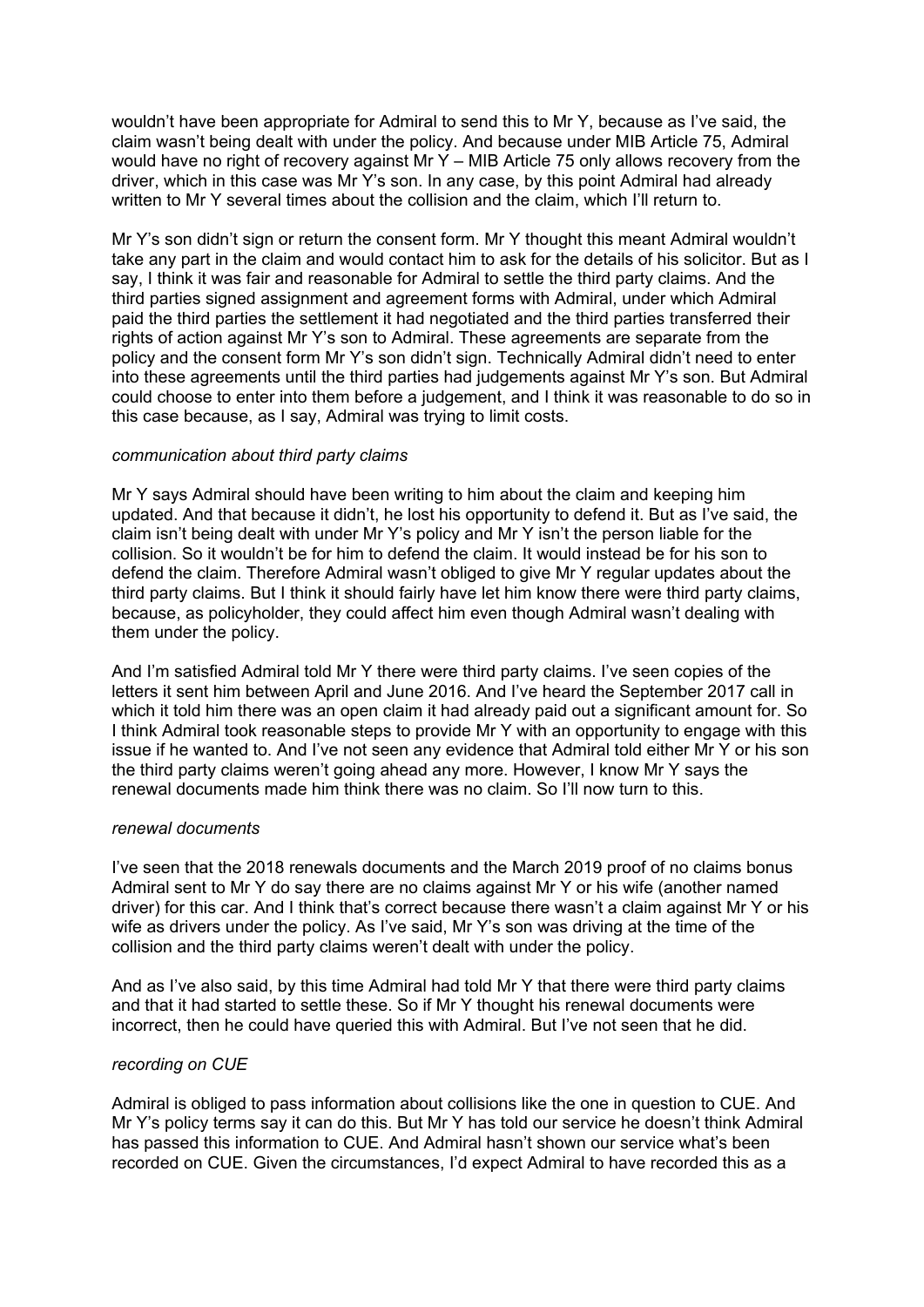wouldn't have been appropriate for Admiral to send this to Mr Y, because as I've said, the claim wasn't being dealt with under the policy. And because under MIB Article 75, Admiral would have no right of recovery against Mr Y – MIB Article 75 only allows recovery from the driver, which in this case was Mr Y's son. In any case, by this point Admiral had already written to Mr Y several times about the collision and the claim, which I'll return to.

Mr Y's son didn't sign or return the consent form. Mr Y thought this meant Admiral wouldn't take any part in the claim and would contact him to ask for the details of his solicitor. But as I say, I think it was fair and reasonable for Admiral to settle the third party claims. And the third parties signed assignment and agreement forms with Admiral, under which Admiral paid the third parties the settlement it had negotiated and the third parties transferred their rights of action against Mr Y's son to Admiral. These agreements are separate from the policy and the consent form Mr Y's son didn't sign. Technically Admiral didn't need to enter into these agreements until the third parties had judgements against Mr Y's son. But Admiral could choose to enter into them before a judgement, and I think it was reasonable to do so in this case because, as I say, Admiral was trying to limit costs.

### *communication about third party claims*

Mr Y says Admiral should have been writing to him about the claim and keeping him updated. And that because it didn't, he lost his opportunity to defend it. But as I've said, the claim isn't being dealt with under Mr Y's policy and Mr Y isn't the person liable for the collision. So it wouldn't be for him to defend the claim. It would instead be for his son to defend the claim. Therefore Admiral wasn't obliged to give Mr Y regular updates about the third party claims. But I think it should fairly have let him know there were third party claims, because, as policyholder, they could affect him even though Admiral wasn't dealing with them under the policy.

And I'm satisfied Admiral told Mr Y there were third party claims. I've seen copies of the letters it sent him between April and June 2016. And I've heard the September 2017 call in which it told him there was an open claim it had already paid out a significant amount for. So I think Admiral took reasonable steps to provide Mr Y with an opportunity to engage with this issue if he wanted to. And I've not seen any evidence that Admiral told either Mr Y or his son the third party claims weren't going ahead any more. However, I know Mr Y says the renewal documents made him think there was no claim. So I'll now turn to this.

#### *renewal documents*

I've seen that the 2018 renewals documents and the March 2019 proof of no claims bonus Admiral sent to Mr Y do say there are no claims against Mr Y or his wife (another named driver) for this car. And I think that's correct because there wasn't a claim against Mr Y or his wife as drivers under the policy. As I've said, Mr Y's son was driving at the time of the collision and the third party claims weren't dealt with under the policy.

And as I've also said, by this time Admiral had told Mr Y that there were third party claims and that it had started to settle these. So if Mr Y thought his renewal documents were incorrect, then he could have queried this with Admiral. But I've not seen that he did.

## *recording on CUE*

Admiral is obliged to pass information about collisions like the one in question to CUE. And Mr Y's policy terms say it can do this. But Mr Y has told our service he doesn't think Admiral has passed this information to CUE. And Admiral hasn't shown our service what's been recorded on CUE. Given the circumstances, I'd expect Admiral to have recorded this as a